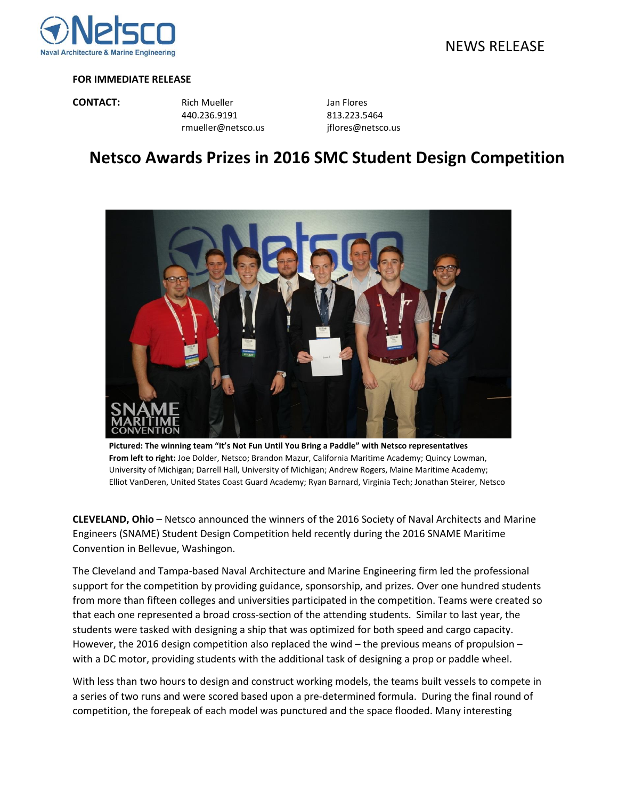

## **FOR IMMEDIATE RELEASE**

**CONTACT:** Rich Mueller **CONTACT:** Rich Mueller 440.236.9191 813.223.5464 rmueller@netsco.us jflores@netsco.us

## **Netsco Awards Prizes in 2016 SMC Student Design Competition**



**Pictured: The winning team "It's Not Fun Until You Bring a Paddle" with Netsco representatives From left to right:** Joe Dolder, Netsco; Brandon Mazur, California Maritime Academy; Quincy Lowman, University of Michigan; Darrell Hall, University of Michigan; Andrew Rogers, Maine Maritime Academy; Elliot VanDeren, United States Coast Guard Academy; Ryan Barnard, Virginia Tech; Jonathan Steirer, Netsco

**CLEVELAND, Ohio** – Netsco announced the winners of the 2016 Society of Naval Architects and Marine Engineers (SNAME) Student Design Competition held recently during the 2016 SNAME Maritime Convention in Bellevue, Washingon.

The Cleveland and Tampa‐based Naval Architecture and Marine Engineering firm led the professional support for the competition by providing guidance, sponsorship, and prizes. Over one hundred students from more than fifteen colleges and universities participated in the competition. Teams were created so that each one represented a broad cross‐section of the attending students. Similar to last year, the students were tasked with designing a ship that was optimized for both speed and cargo capacity. However, the 2016 design competition also replaced the wind – the previous means of propulsion – with a DC motor, providing students with the additional task of designing a prop or paddle wheel.

With less than two hours to design and construct working models, the teams built vessels to compete in a series of two runs and were scored based upon a pre‐determined formula. During the final round of competition, the forepeak of each model was punctured and the space flooded. Many interesting